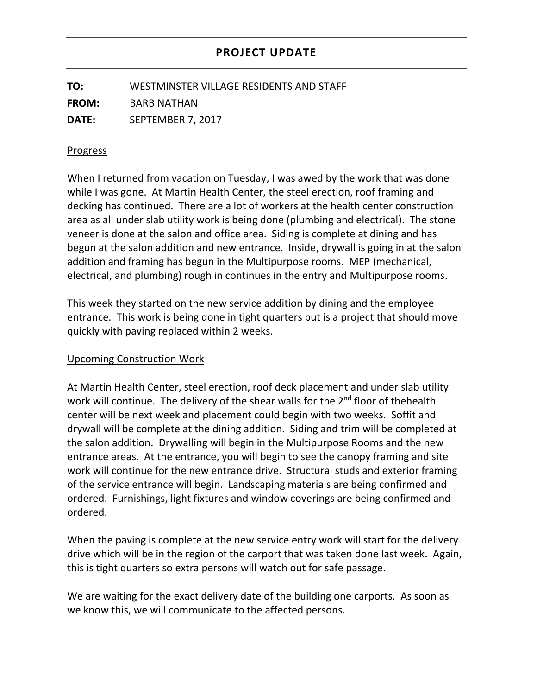## **PROJECT UPDATE**

**TO:** WESTMINSTER VILLAGE RESIDENTS AND STAFF **FROM:** BARB NATHAN **DATE:** SEPTEMBER 7, 2017

## Progress

When I returned from vacation on Tuesday, I was awed by the work that was done while I was gone. At Martin Health Center, the steel erection, roof framing and decking has continued. There are a lot of workers at the health center construction area as all under slab utility work is being done (plumbing and electrical). The stone veneer is done at the salon and office area. Siding is complete at dining and has begun at the salon addition and new entrance. Inside, drywall is going in at the salon addition and framing has begun in the Multipurpose rooms. MEP (mechanical, electrical, and plumbing) rough in continues in the entry and Multipurpose rooms.

This week they started on the new service addition by dining and the employee entrance. This work is being done in tight quarters but is a project that should move quickly with paving replaced within 2 weeks.

## Upcoming Construction Work

At Martin Health Center, steel erection, roof deck placement and under slab utility work will continue. The delivery of the shear walls for the 2<sup>nd</sup> floor of thehealth center will be next week and placement could begin with two weeks. Soffit and drywall will be complete at the dining addition. Siding and trim will be completed at the salon addition. Drywalling will begin in the Multipurpose Rooms and the new entrance areas. At the entrance, you will begin to see the canopy framing and site work will continue for the new entrance drive. Structural studs and exterior framing of the service entrance will begin. Landscaping materials are being confirmed and ordered. Furnishings, light fixtures and window coverings are being confirmed and ordered.

When the paving is complete at the new service entry work will start for the delivery drive which will be in the region of the carport that was taken done last week. Again, this is tight quarters so extra persons will watch out for safe passage.

We are waiting for the exact delivery date of the building one carports. As soon as we know this, we will communicate to the affected persons.